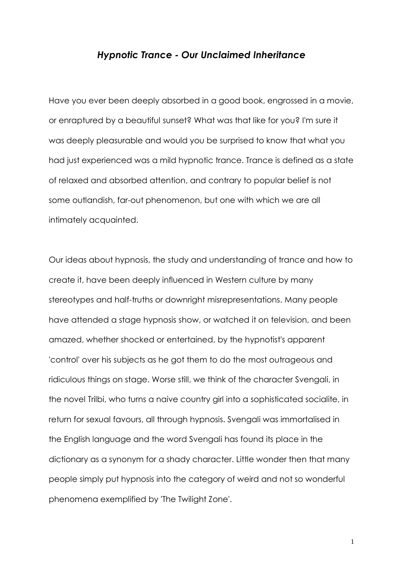## *Hypnotic Trance - Our Unclaimed Inheritance*

Have you ever been deeply absorbed in a good book, engrossed in a movie, or enraptured by a beautiful sunset? What was that like for you? I'm sure it was deeply pleasurable and would you be surprised to know that what you had just experienced was a mild hypnotic trance. Trance is defined as a state of relaxed and absorbed attention, and contrary to popular belief is not some outlandish, far-out phenomenon, but one with which we are all intimately acquainted.

Our ideas about hypnosis, the study and understanding of trance and how to create it, have been deeply influenced in Western culture by many stereotypes and half-truths or downright misrepresentations. Many people have attended a stage hypnosis show, or watched it on television, and been amazed, whether shocked or entertained, by the hypnotist's apparent 'control' over his subjects as he got them to do the most outrageous and ridiculous things on stage. Worse still, we think of the character Svengali, in the novel Trilbi, who turns a naive country girl into a sophisticated socialite, in return for sexual favours, all through hypnosis. Svengali was immortalised in the English language and the word Svengali has found its place in the dictionary as a synonym for a shady character. Little wonder then that many people simply put hypnosis into the category of weird and not so wonderful phenomena exemplified by 'The Twilight Zone'.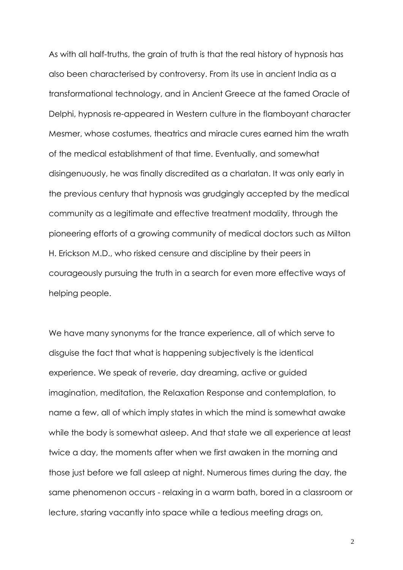As with all half-truths, the grain of truth is that the real history of hypnosis has also been characterised by controversy. From its use in ancient India as a transformational technology, and in Ancient Greece at the famed Oracle of Delphi, hypnosis re-appeared in Western culture in the flamboyant character Mesmer, whose costumes, theatrics and miracle cures earned him the wrath of the medical establishment of that time. Eventually, and somewhat disingenuously, he was finally discredited as a charlatan. It was only early in the previous century that hypnosis was grudgingly accepted by the medical community as a legitimate and effective treatment modality, through the pioneering efforts of a growing community of medical doctors such as Milton H. Erickson M.D., who risked censure and discipline by their peers in courageously pursuing the truth in a search for even more effective ways of helping people.

We have many synonyms for the trance experience, all of which serve to disguise the fact that what is happening subjectively is the identical experience. We speak of reverie, day dreaming, active or guided imagination, meditation, the Relaxation Response and contemplation, to name a few, all of which imply states in which the mind is somewhat awake while the body is somewhat asleep. And that state we all experience at least twice a day, the moments after when we first awaken in the morning and those just before we fall asleep at night. Numerous times during the day, the same phenomenon occurs - relaxing in a warm bath, bored in a classroom or lecture, staring vacantly into space while a tedious meeting drags on,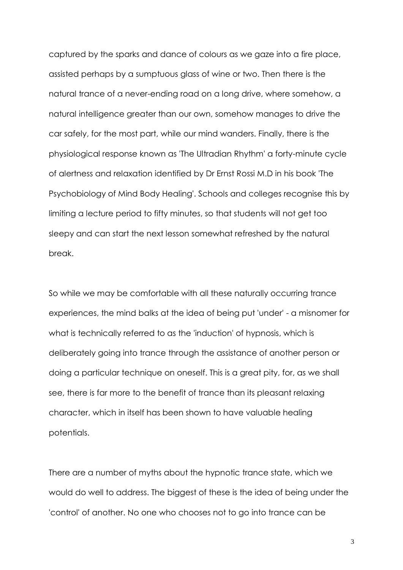captured by the sparks and dance of colours as we gaze into a fire place, assisted perhaps by a sumptuous glass of wine or two. Then there is the natural trance of a never-ending road on a long drive, where somehow, a natural intelligence greater than our own, somehow manages to drive the car safely, for the most part, while our mind wanders. Finally, there is the physiological response known as 'The Ultradian Rhythm' a forty-minute cycle of alertness and relaxation identified by Dr Ernst Rossi M.D in his book 'The Psychobiology of Mind Body Healing'. Schools and colleges recognise this by limiting a lecture period to fifty minutes, so that students will not get too sleepy and can start the next lesson somewhat refreshed by the natural break.

So while we may be comfortable with all these naturally occurring trance experiences, the mind balks at the idea of being put 'under' - a misnomer for what is technically referred to as the 'induction' of hypnosis, which is deliberately going into trance through the assistance of another person or doing a particular technique on oneself. This is a great pity, for, as we shall see, there is far more to the benefit of trance than its pleasant relaxing character, which in itself has been shown to have valuable healing potentials.

There are a number of myths about the hypnotic trance state, which we would do well to address. The biggest of these is the idea of being under the 'control' of another. No one who chooses not to go into trance can be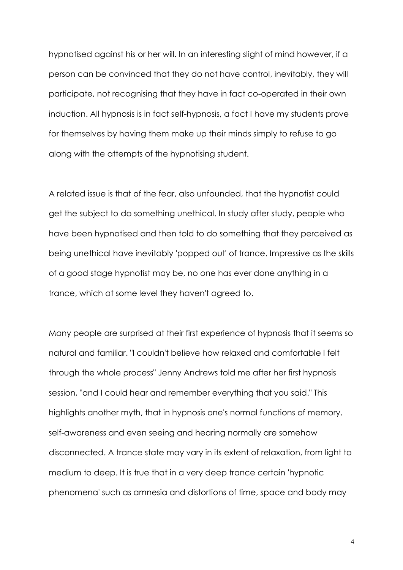hypnotised against his or her will. In an interesting slight of mind however, if a person can be convinced that they do not have control, inevitably, they will participate, not recognising that they have in fact co-operated in their own induction. All hypnosis is in fact self-hypnosis, a fact I have my students prove for themselves by having them make up their minds simply to refuse to go along with the attempts of the hypnotising student.

A related issue is that of the fear, also unfounded, that the hypnotist could get the subject to do something unethical. In study after study, people who have been hypnotised and then told to do something that they perceived as being unethical have inevitably 'popped out' of trance. Impressive as the skills of a good stage hypnotist may be, no one has ever done anything in a trance, which at some level they haven't agreed to.

Many people are surprised at their first experience of hypnosis that it seems so natural and familiar. "I couldn't believe how relaxed and comfortable I felt through the whole process" Jenny Andrews told me after her first hypnosis session, "and I could hear and remember everything that you said." This highlights another myth, that in hypnosis one's normal functions of memory, self-awareness and even seeing and hearing normally are somehow disconnected. A trance state may vary in its extent of relaxation, from light to medium to deep. It is true that in a very deep trance certain 'hypnotic phenomena' such as amnesia and distortions of time, space and body may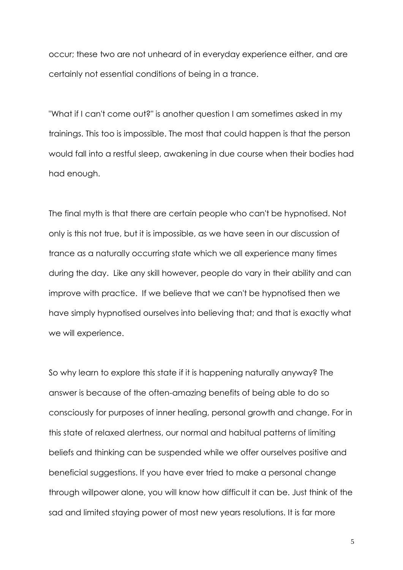occur; these two are not unheard of in everyday experience either, and are certainly not essential conditions of being in a trance.

"What if I can't come out?" is another question I am sometimes asked in my trainings. This too is impossible. The most that could happen is that the person would fall into a restful sleep, awakening in due course when their bodies had had enough.

The final myth is that there are certain people who can't be hypnotised. Not only is this not true, but it is impossible, as we have seen in our discussion of trance as a naturally occurring state which we all experience many times during the day. Like any skill however, people do vary in their ability and can improve with practice. If we believe that we can't be hypnotised then we have simply hypnotised ourselves into believing that; and that is exactly what we will experience.

So why learn to explore this state if it is happening naturally anyway? The answer is because of the often-amazing benefits of being able to do so consciously for purposes of inner healing, personal growth and change. For in this state of relaxed alertness, our normal and habitual patterns of limiting beliefs and thinking can be suspended while we offer ourselves positive and beneficial suggestions. If you have ever tried to make a personal change through willpower alone, you will know how difficult it can be. Just think of the sad and limited staying power of most new years resolutions. It is far more